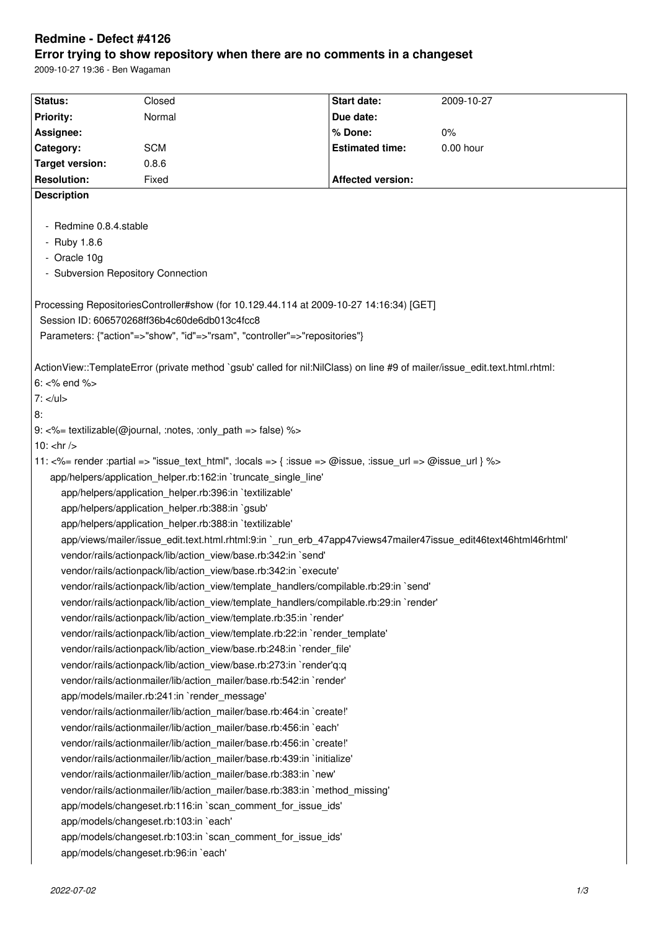# **Redmine - Defect #4126**

# **Error trying to show repository when there are no comments in a changeset**

2009-10-27 19:36 - Ben Wagaman

| Status:                                                                                                                    | Closed                               | <b>Start date:</b>       | 2009-10-27 |
|----------------------------------------------------------------------------------------------------------------------------|--------------------------------------|--------------------------|------------|
| <b>Priority:</b>                                                                                                           | Normal                               | Due date:                |            |
| Assignee:                                                                                                                  |                                      | % Done:                  | $0\%$      |
| Category:                                                                                                                  | <b>SCM</b>                           | <b>Estimated time:</b>   | 0.00 hour  |
| <b>Target version:</b>                                                                                                     | 0.8.6                                |                          |            |
| <b>Resolution:</b>                                                                                                         | Fixed                                | <b>Affected version:</b> |            |
| <b>Description</b>                                                                                                         |                                      |                          |            |
|                                                                                                                            |                                      |                          |            |
| Redmine 0.8.4.stable                                                                                                       |                                      |                          |            |
| - Ruby 1.8.6                                                                                                               |                                      |                          |            |
| - Oracle 10g                                                                                                               |                                      |                          |            |
| - Subversion Repository Connection                                                                                         |                                      |                          |            |
|                                                                                                                            |                                      |                          |            |
| Processing RepositoriesController#show (for 10.129.44.114 at 2009-10-27 14:16:34) [GET]                                    |                                      |                          |            |
| Session ID: 606570268ff36b4c60de6db013c4fcc8                                                                               |                                      |                          |            |
| Parameters: {"action"=>"show", "id"=>"rsam", "controller"=>"repositories"}                                                 |                                      |                          |            |
|                                                                                                                            |                                      |                          |            |
| ActionView::TemplateError (private method `gsub' called for nil:NilClass) on line #9 of mailer/issue edit.text.html.rhtml: |                                      |                          |            |
| $6: <\%$ end $\%$                                                                                                          |                                      |                          |            |
| $7: <$ /ul>                                                                                                                |                                      |                          |            |
| 8:                                                                                                                         |                                      |                          |            |
| 9: <%= textilizable(@journal, :notes, :only_path => false) %>                                                              |                                      |                          |            |
| 10: $\text{chr}$ />                                                                                                        |                                      |                          |            |
| 11: <%= render :partial => "issue_text_html", :locals => { :issue => @issue, :issue_url => @issue_url } %>                 |                                      |                          |            |
| app/helpers/application_helper.rb:162:in `truncate_single_line'                                                            |                                      |                          |            |
| app/helpers/application_helper.rb:396:in `textilizable'                                                                    |                                      |                          |            |
| app/helpers/application_helper.rb:388:in `gsub'                                                                            |                                      |                          |            |
| app/helpers/application_helper.rb:388:in `textilizable'                                                                    |                                      |                          |            |
| app/views/mailer/issue edit.text.html.rhtml:9:in ` run erb 47app47views47mailer47issue edit46text46html46rhtml'            |                                      |                          |            |
| vendor/rails/actionpack/lib/action_view/base.rb:342:in `send'                                                              |                                      |                          |            |
| vendor/rails/actionpack/lib/action_view/base.rb:342:in `execute'                                                           |                                      |                          |            |
| vendor/rails/actionpack/lib/action_view/template_handlers/compilable.rb:29:in `send'                                       |                                      |                          |            |
| vendor/rails/actionpack/lib/action_view/template_handlers/compilable.rb:29:in `render'                                     |                                      |                          |            |
| vendor/rails/actionpack/lib/action_view/template.rb:35:in `render'                                                         |                                      |                          |            |
| vendor/rails/actionpack/lib/action view/template.rb:22:in `render template'                                                |                                      |                          |            |
| vendor/rails/actionpack/lib/action_view/base.rb:248:in `render_file'                                                       |                                      |                          |            |
| vendor/rails/actionpack/lib/action_view/base.rb:273:in `render'q:q                                                         |                                      |                          |            |
| vendor/rails/actionmailer/lib/action_mailer/base.rb:542:in `render'                                                        |                                      |                          |            |
| app/models/mailer.rb:241:in `render_message'                                                                               |                                      |                          |            |
| vendor/rails/actionmailer/lib/action mailer/base.rb:464:in `create!'                                                       |                                      |                          |            |
| vendor/rails/actionmailer/lib/action_mailer/base.rb:456:in `each'                                                          |                                      |                          |            |
| vendor/rails/actionmailer/lib/action_mailer/base.rb:456:in `create!'                                                       |                                      |                          |            |
| vendor/rails/actionmailer/lib/action_mailer/base.rb:439:in `initialize'                                                    |                                      |                          |            |
| vendor/rails/actionmailer/lib/action_mailer/base.rb:383:in `new'                                                           |                                      |                          |            |
| vendor/rails/actionmailer/lib/action_mailer/base.rb:383:in `method_missing'                                                |                                      |                          |            |
| app/models/changeset.rb:116:in `scan_comment_for_issue_ids'                                                                |                                      |                          |            |
| app/models/changeset.rb:103:in `each'                                                                                      |                                      |                          |            |
| app/models/changeset.rb:103:in `scan_comment_for_issue_ids'                                                                |                                      |                          |            |
|                                                                                                                            | app/models/changeset.rb:96:in `each' |                          |            |
|                                                                                                                            |                                      |                          |            |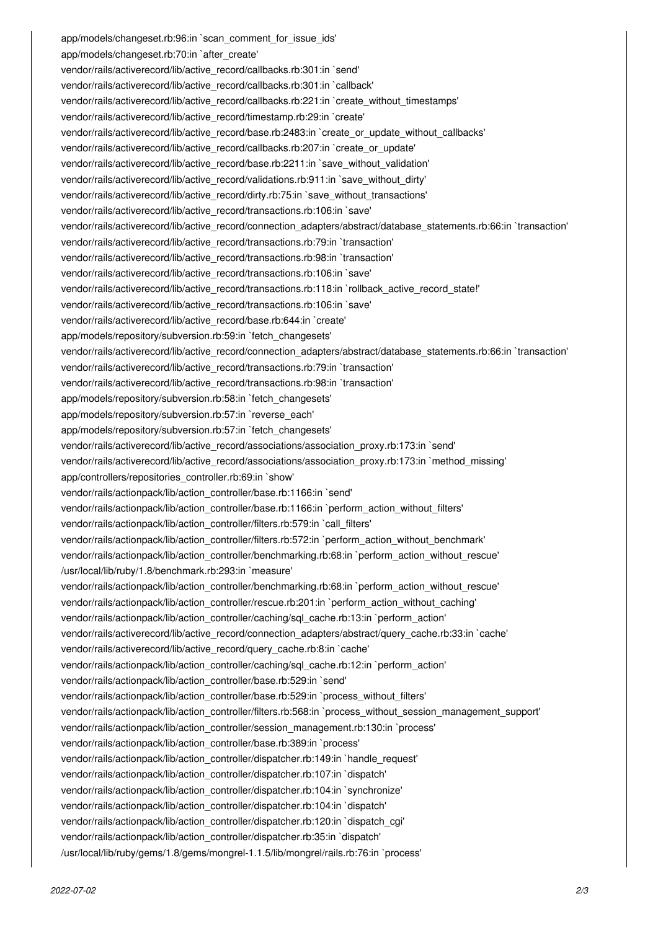app/models/changeset.rb:96:in `scan\_comment\_for\_issue\_ids' app/models/changeset.rb:70:in `after\_create' vendor/rails/activerecord/lib/active\_record/callbacks.rb:301:in `send' vendor/rails/activerecord/lib/active\_record/callbacks.rb:301:in `callback' vendor/rails/activerecord/lib/active\_record/callbacks.rb:221:in `create\_without\_timestamps' vendor/rails/activerecord/lib/active\_record/timestamp.rb:29:in `create' vendor/rails/activerecord/lib/active\_record/base.rb:2483:in `create\_or\_update\_without\_callbacks' vendor/rails/activerecord/lib/active\_record/callbacks.rb:207:in `create\_or\_update' vendor/rails/activerecord/lib/active\_record/base.rb:2211:in `save\_without\_validation' vendor/rails/activerecord/lib/active\_record/validations.rb:911:in `save\_without\_dirty' vendor/rails/activerecord/lib/active\_record/dirty.rb:75:in `save\_without\_transactions' vendor/rails/activerecord/lib/active\_record/transactions.rb:106:in `save' vendor/rails/activerecord/lib/active\_record/connection\_adapters/abstract/database\_statements.rb:66:in `transaction' vendor/rails/activerecord/lib/active\_record/transactions.rb:79:in `transaction' vendor/rails/activerecord/lib/active\_record/transactions.rb:98:in `transaction' vendor/rails/activerecord/lib/active\_record/transactions.rb:106:in `save' vendor/rails/activerecord/lib/active\_record/transactions.rb:118:in `rollback\_active\_record\_state!' vendor/rails/activerecord/lib/active\_record/transactions.rb:106:in `save' vendor/rails/activerecord/lib/active\_record/base.rb:644:in `create' app/models/repository/subversion.rb:59:in `fetch\_changesets' vendor/rails/activerecord/lib/active\_record/connection\_adapters/abstract/database\_statements.rb:66:in `transaction' vendor/rails/activerecord/lib/active\_record/transactions.rb:79:in `transaction' vendor/rails/activerecord/lib/active\_record/transactions.rb:98:in `transaction' app/models/repository/subversion.rb:58:in `fetch\_changesets' app/models/repository/subversion.rb:57:in `reverse\_each' app/models/repository/subversion.rb:57:in `fetch\_changesets' vendor/rails/activerecord/lib/active\_record/associations/association\_proxy.rb:173:in `send' vendor/rails/activerecord/lib/active\_record/associations/association\_proxy.rb:173:in `method\_missing' app/controllers/repositories\_controller.rb:69:in `show' vendor/rails/actionpack/lib/action\_controller/base.rb:1166:in `send' vendor/rails/actionpack/lib/action\_controller/base.rb:1166:in `perform\_action\_without\_filters' vendor/rails/actionpack/lib/action\_controller/filters.rb:579:in `call\_filters' vendor/rails/actionpack/lib/action\_controller/filters.rb:572:in `perform\_action\_without\_benchmark' vendor/rails/actionpack/lib/action\_controller/benchmarking.rb:68:in `perform\_action\_without\_rescue' /usr/local/lib/ruby/1.8/benchmark.rb:293:in `measure' vendor/rails/actionpack/lib/action\_controller/benchmarking.rb:68:in `perform\_action\_without\_rescue' vendor/rails/actionpack/lib/action\_controller/rescue.rb:201:in `perform\_action\_without\_caching' vendor/rails/actionpack/lib/action\_controller/caching/sql\_cache.rb:13:in `perform\_action' vendor/rails/activerecord/lib/active\_record/connection\_adapters/abstract/query\_cache.rb:33:in `cache' vendor/rails/activerecord/lib/active\_record/query\_cache.rb:8:in `cache' vendor/rails/actionpack/lib/action\_controller/caching/sql\_cache.rb:12:in `perform\_action' vendor/rails/actionpack/lib/action\_controller/base.rb:529:in `send' vendor/rails/actionpack/lib/action\_controller/base.rb:529:in `process\_without\_filters' vendor/rails/actionpack/lib/action\_controller/filters.rb:568:in `process\_without\_session\_management\_support' vendor/rails/actionpack/lib/action\_controller/session\_management.rb:130:in `process' vendor/rails/actionpack/lib/action\_controller/base.rb:389:in `process' vendor/rails/actionpack/lib/action\_controller/dispatcher.rb:149:in `handle\_request' vendor/rails/actionpack/lib/action\_controller/dispatcher.rb:107:in `dispatch' vendor/rails/actionpack/lib/action\_controller/dispatcher.rb:104:in `synchronize' vendor/rails/actionpack/lib/action\_controller/dispatcher.rb:104:in `dispatch' vendor/rails/actionpack/lib/action\_controller/dispatcher.rb:120:in `dispatch\_cgi' vendor/rails/actionpack/lib/action\_controller/dispatcher.rb:35:in `dispatch' /usr/local/lib/ruby/gems/1.8/gems/mongrel-1.1.5/lib/mongrel/rails.rb:76:in `process'